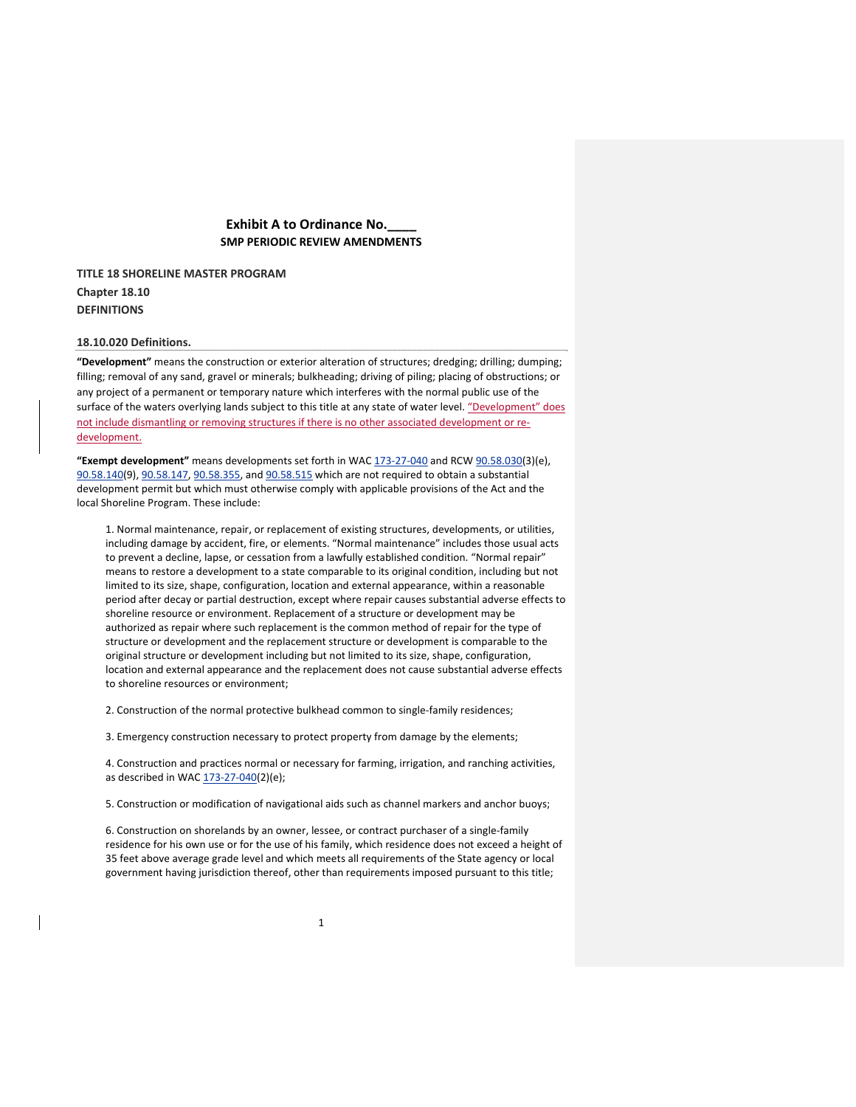# **Exhibit A to Ordinance No.\_\_\_\_ SMP PERIODIC REVIEW AMENDMENTS**

**TITLE 18 SHORELINE MASTER PROGRAM Chapter 18.10 DEFINITIONS** 

### **18.10.020 Definitions.**

**"Development"** means the construction or exterior alteration of structures; dredging; drilling; dumping; filling; removal of any sand, gravel or minerals; bulkheading; driving of piling; placing of obstructions; or any project of a permanent or temporary nature which interferes with the normal public use of the surface of the waters overlying lands subject to this title at any state of water level. "Development" does not include dismantling or removing structures if there is no other associated development or redevelopment.

**"Exempt development"** means developments set forth in WAC 173‐27‐040 and RCW 90.58.030(3)(e), 90.58.140(9), 90.58.147, 90.58.355, and 90.58.515 which are not required to obtain a substantial development permit but which must otherwise comply with applicable provisions of the Act and the local Shoreline Program. These include:

1. Normal maintenance, repair, or replacement of existing structures, developments, or utilities, including damage by accident, fire, or elements. "Normal maintenance" includes those usual acts to prevent a decline, lapse, or cessation from a lawfully established condition. "Normal repair" means to restore a development to a state comparable to its original condition, including but not limited to its size, shape, configuration, location and external appearance, within a reasonable period after decay or partial destruction, except where repair causes substantial adverse effects to shoreline resource or environment. Replacement of a structure or development may be authorized as repair where such replacement is the common method of repair for the type of structure or development and the replacement structure or development is comparable to the original structure or development including but not limited to its size, shape, configuration, location and external appearance and the replacement does not cause substantial adverse effects to shoreline resources or environment;

2. Construction of the normal protective bulkhead common to single‐family residences;

3. Emergency construction necessary to protect property from damage by the elements;

4. Construction and practices normal or necessary for farming, irrigation, and ranching activities, as described in WAC 173-27-040(2)(e);

5. Construction or modification of navigational aids such as channel markers and anchor buoys;

6. Construction on shorelands by an owner, lessee, or contract purchaser of a single-family residence for his own use or for the use of his family, which residence does not exceed a height of 35 feet above average grade level and which meets all requirements of the State agency or local government having jurisdiction thereof, other than requirements imposed pursuant to this title;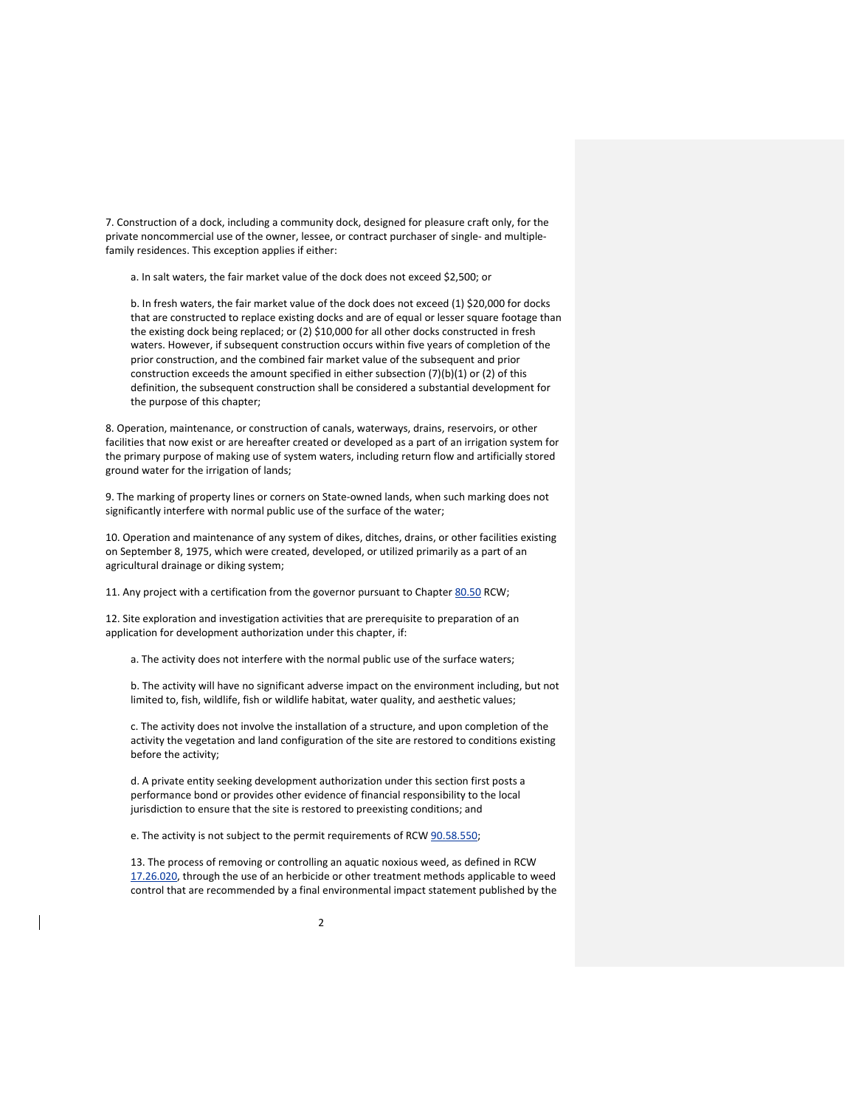7. Construction of a dock, including a community dock, designed for pleasure craft only, for the private noncommercial use of the owner, lessee, or contract purchaser of single- and multiplefamily residences. This exception applies if either:

a. In salt waters, the fair market value of the dock does not exceed \$2,500; or

b. In fresh waters, the fair market value of the dock does not exceed (1) \$20,000 for docks that are constructed to replace existing docks and are of equal or lesser square footage than the existing dock being replaced; or (2) \$10,000 for all other docks constructed in fresh waters. However, if subsequent construction occurs within five years of completion of the prior construction, and the combined fair market value of the subsequent and prior construction exceeds the amount specified in either subsection (7)(b)(1) or (2) of this definition, the subsequent construction shall be considered a substantial development for the purpose of this chapter;

8. Operation, maintenance, or construction of canals, waterways, drains, reservoirs, or other facilities that now exist or are hereafter created or developed as a part of an irrigation system for the primary purpose of making use of system waters, including return flow and artificially stored ground water for the irrigation of lands;

9. The marking of property lines or corners on State‐owned lands, when such marking does not significantly interfere with normal public use of the surface of the water;

10. Operation and maintenance of any system of dikes, ditches, drains, or other facilities existing on September 8, 1975, which were created, developed, or utilized primarily as a part of an agricultural drainage or diking system;

11. Any project with a certification from the governor pursuant to Chapter 80.50 RCW;

12. Site exploration and investigation activities that are prerequisite to preparation of an application for development authorization under this chapter, if:

a. The activity does not interfere with the normal public use of the surface waters;

b. The activity will have no significant adverse impact on the environment including, but not limited to, fish, wildlife, fish or wildlife habitat, water quality, and aesthetic values;

c. The activity does not involve the installation of a structure, and upon completion of the activity the vegetation and land configuration of the site are restored to conditions existing before the activity;

d. A private entity seeking development authorization under this section first posts a performance bond or provides other evidence of financial responsibility to the local jurisdiction to ensure that the site is restored to preexisting conditions; and

e. The activity is not subject to the permit requirements of RCW 90.58.550;

13. The process of removing or controlling an aquatic noxious weed, as defined in RCW 17.26.020, through the use of an herbicide or other treatment methods applicable to weed control that are recommended by a final environmental impact statement published by the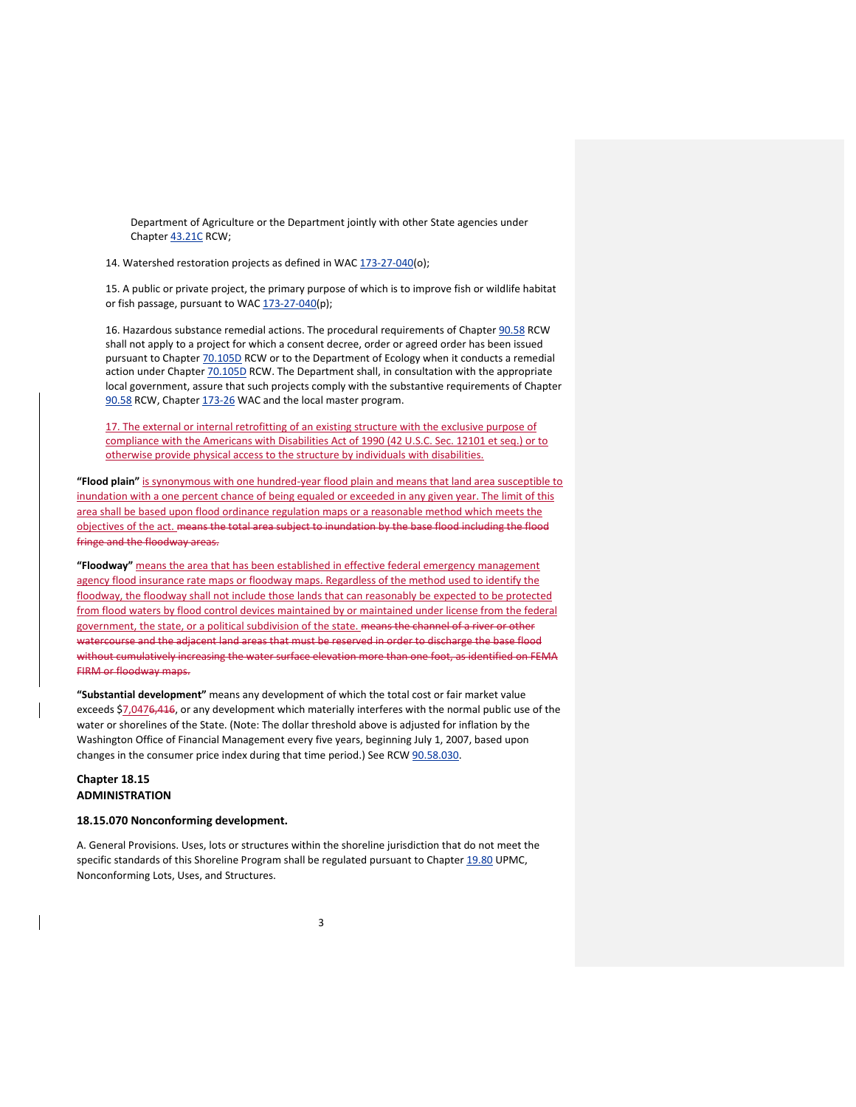Department of Agriculture or the Department jointly with other State agencies under Chapter 43.21C RCW;

14. Watershed restoration projects as defined in WAC 173-27-040(o);

15. A public or private project, the primary purpose of which is to improve fish or wildlife habitat or fish passage, pursuant to WAC 173-27-040(p);

16. Hazardous substance remedial actions. The procedural requirements of Chapter 90.58 RCW shall not apply to a project for which a consent decree, order or agreed order has been issued pursuant to Chapter 70.105D RCW or to the Department of Ecology when it conducts a remedial action under Chapter 70.105D RCW. The Department shall, in consultation with the appropriate local government, assure that such projects comply with the substantive requirements of Chapter 90.58 RCW, Chapter 173-26 WAC and the local master program.

17. The external or internal retrofitting of an existing structure with the exclusive purpose of compliance with the Americans with Disabilities Act of 1990 (42 U.S.C. Sec. 12101 et seq.) or to otherwise provide physical access to the structure by individuals with disabilities.

**"Flood plain"** is synonymous with one hundred‐year flood plain and means that land area susceptible to inundation with a one percent chance of being equaled or exceeded in any given year. The limit of this area shall be based upon flood ordinance regulation maps or a reasonable method which meets the objectives of the act. means the total area subject to inundation by the base flood including the flood fringe and the floodway areas.

**"Floodway"** means the area that has been established in effective federal emergency management agency flood insurance rate maps or floodway maps. Regardless of the method used to identify the floodway, the floodway shall not include those lands that can reasonably be expected to be protected from flood waters by flood control devices maintained by or maintained under license from the federal government, the state, or a political subdivision of the state. means the channel of a river or other watercourse and the adjacent land areas that must be reserved in order to discharge the base flood without cumulatively increasing the water surface elevation more than one foot, as identified on FEMA FIRM or floodway maps.

**"Substantial development"** means any development of which the total cost or fair market value exceeds \$7,0476,416, or any development which materially interferes with the normal public use of the water or shorelines of the State. (Note: The dollar threshold above is adjusted for inflation by the Washington Office of Financial Management every five years, beginning July 1, 2007, based upon changes in the consumer price index during that time period.) See RCW 90.58.030.

# **Chapter 18.15 ADMINISTRATION**

### **18.15.070 Nonconforming development.**

A. General Provisions. Uses, lots or structures within the shoreline jurisdiction that do not meet the specific standards of this Shoreline Program shall be regulated pursuant to Chapter 19.80 UPMC, Nonconforming Lots, Uses, and Structures.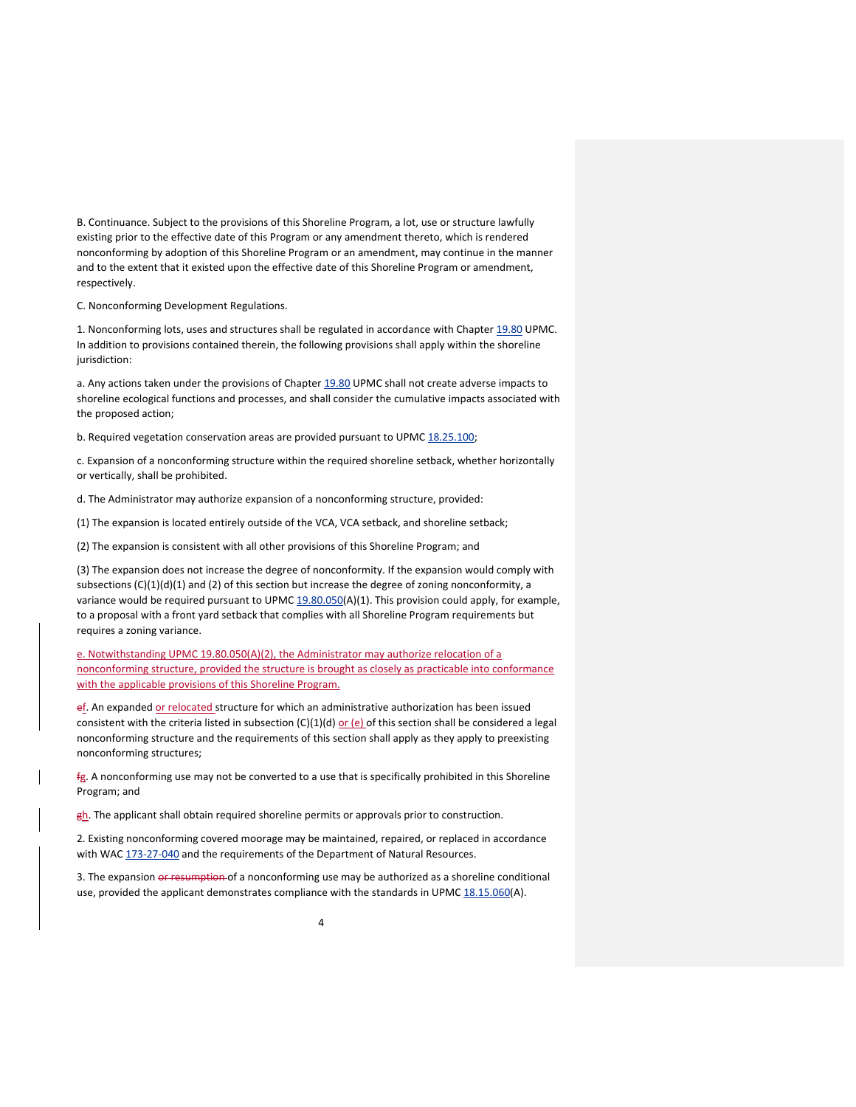B. Continuance. Subject to the provisions of this Shoreline Program, a lot, use or structure lawfully existing prior to the effective date of this Program or any amendment thereto, which is rendered nonconforming by adoption of this Shoreline Program or an amendment, may continue in the manner and to the extent that it existed upon the effective date of this Shoreline Program or amendment, respectively.

C. Nonconforming Development Regulations.

1. Nonconforming lots, uses and structures shall be regulated in accordance with Chapter 19.80 UPMC. In addition to provisions contained therein, the following provisions shall apply within the shoreline iurisdiction:

a. Any actions taken under the provisions of Chapter 19.80 UPMC shall not create adverse impacts to shoreline ecological functions and processes, and shall consider the cumulative impacts associated with the proposed action;

b. Required vegetation conservation areas are provided pursuant to UPMC 18.25.100;

c. Expansion of a nonconforming structure within the required shoreline setback, whether horizontally or vertically, shall be prohibited.

d. The Administrator may authorize expansion of a nonconforming structure, provided:

(1) The expansion is located entirely outside of the VCA, VCA setback, and shoreline setback;

(2) The expansion is consistent with all other provisions of this Shoreline Program; and

(3) The expansion does not increase the degree of nonconformity. If the expansion would comply with subsections  $(C)(1)(d)(1)$  and  $(2)$  of this section but increase the degree of zoning nonconformity, a variance would be required pursuant to UPMC 19.80.050(A)(1). This provision could apply, for example, to a proposal with a front yard setback that complies with all Shoreline Program requirements but requires a zoning variance.

e. Notwithstanding UPMC 19.80.050(A)(2), the Administrator may authorize relocation of a nonconforming structure, provided the structure is brought as closely as practicable into conformance with the applicable provisions of this Shoreline Program.

ef. An expanded or relocated structure for which an administrative authorization has been issued consistent with the criteria listed in subsection  $(C)(1)(d)$  or  $(e)$  of this section shall be considered a legal nonconforming structure and the requirements of this section shall apply as they apply to preexisting nonconforming structures;

fg. A nonconforming use may not be converted to a use that is specifically prohibited in this Shoreline Program; and

gh. The applicant shall obtain required shoreline permits or approvals prior to construction.

2. Existing nonconforming covered moorage may be maintained, repaired, or replaced in accordance with WAC 173-27-040 and the requirements of the Department of Natural Resources.

3. The expansion or resumption of a nonconforming use may be authorized as a shoreline conditional use, provided the applicant demonstrates compliance with the standards in UPMC 18.15.060(A).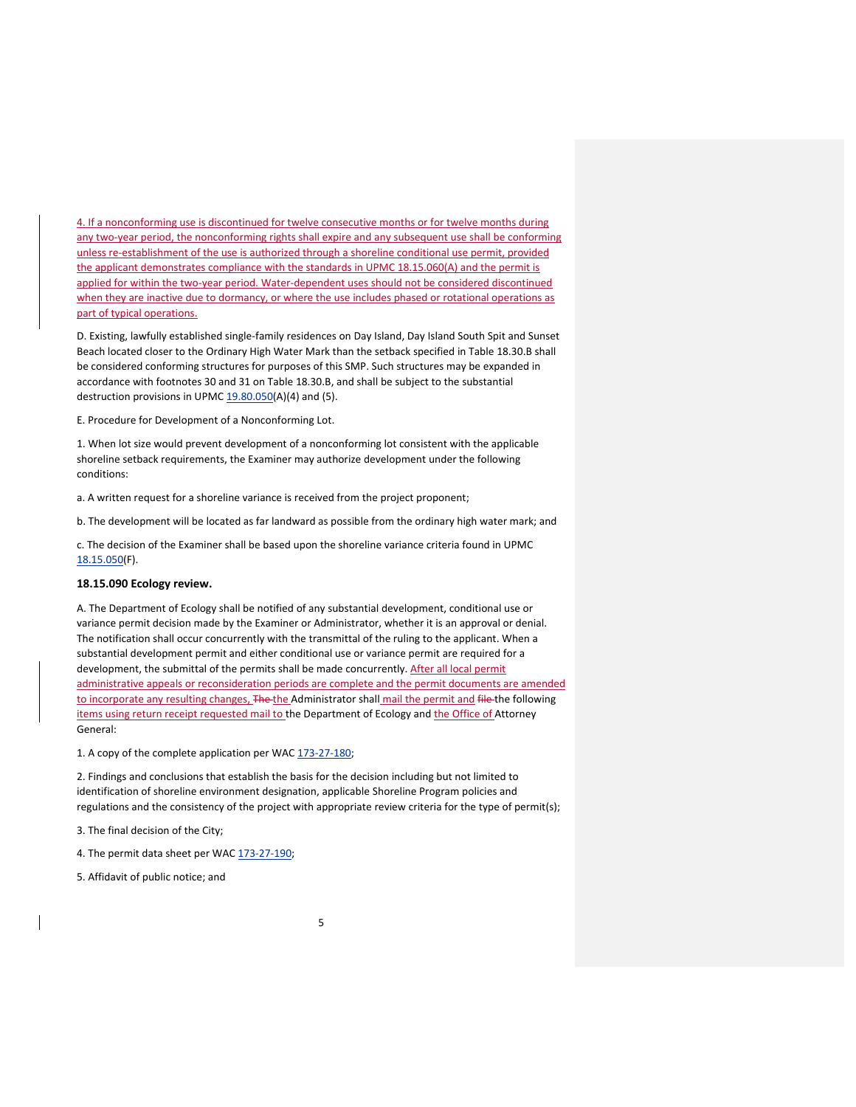4. If a nonconforming use is discontinued for twelve consecutive months or for twelve months during any two-year period, the nonconforming rights shall expire and any subsequent use shall be conforming unless re-establishment of the use is authorized through a shoreline conditional use permit, provided the applicant demonstrates compliance with the standards in UPMC 18.15.060(A) and the permit is applied for within the two-year period. Water-dependent uses should not be considered discontinued when they are inactive due to dormancy, or where the use includes phased or rotational operations as part of typical operations.

D. Existing, lawfully established single‐family residences on Day Island, Day Island South Spit and Sunset Beach located closer to the Ordinary High Water Mark than the setback specified in Table 18.30.B shall be considered conforming structures for purposes of this SMP. Such structures may be expanded in accordance with footnotes 30 and 31 on Table 18.30.B, and shall be subject to the substantial destruction provisions in UPMC 19.80.050(A)(4) and (5).

E. Procedure for Development of a Nonconforming Lot.

1. When lot size would prevent development of a nonconforming lot consistent with the applicable shoreline setback requirements, the Examiner may authorize development under the following conditions:

a. A written request for a shoreline variance is received from the project proponent;

b. The development will be located as far landward as possible from the ordinary high water mark; and

c. The decision of the Examiner shall be based upon the shoreline variance criteria found in UPMC 18.15.050(F).

### **18.15.090 Ecology review.**

A. The Department of Ecology shall be notified of any substantial development, conditional use or variance permit decision made by the Examiner or Administrator, whether it is an approval or denial. The notification shall occur concurrently with the transmittal of the ruling to the applicant. When a substantial development permit and either conditional use or variance permit are required for a development, the submittal of the permits shall be made concurrently. After all local permit administrative appeals or reconsideration periods are complete and the permit documents are amended to incorporate any resulting changes, The the Administrator shall mail the permit and file the following items using return receipt requested mail to the Department of Ecology and the Office of Attorney General:

1. A copy of the complete application per WAC 173-27-180;

2. Findings and conclusions that establish the basis for the decision including but not limited to identification of shoreline environment designation, applicable Shoreline Program policies and regulations and the consistency of the project with appropriate review criteria for the type of permit(s);

3. The final decision of the City;

4. The permit data sheet per WAC 173-27-190;

5. Affidavit of public notice; and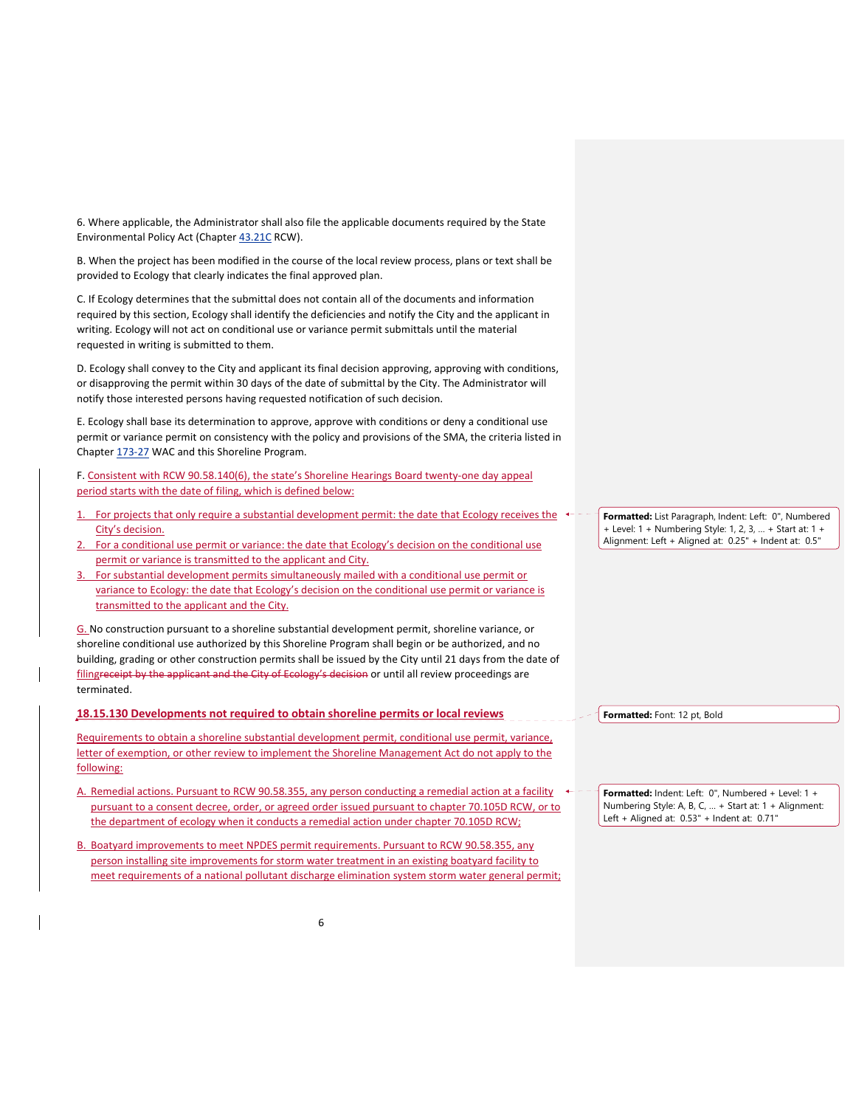6. Where applicable, the Administrator shall also file the applicable documents required by the State Environmental Policy Act (Chapter 43.21C RCW).

B. When the project has been modified in the course of the local review process, plans or text shall be provided to Ecology that clearly indicates the final approved plan.

C. If Ecology determines that the submittal does not contain all of the documents and information required by this section, Ecology shall identify the deficiencies and notify the City and the applicant in writing. Ecology will not act on conditional use or variance permit submittals until the material requested in writing is submitted to them.

D. Ecology shall convey to the City and applicant its final decision approving, approving with conditions, or disapproving the permit within 30 days of the date of submittal by the City. The Administrator will notify those interested persons having requested notification of such decision.

E. Ecology shall base its determination to approve, approve with conditions or deny a conditional use permit or variance permit on consistency with the policy and provisions of the SMA, the criteria listed in Chapter 173‐27 WAC and this Shoreline Program.

F. Consistent with RCW 90.58.140(6), the state's Shoreline Hearings Board twenty‐one day appeal period starts with the date of filing, which is defined below:

- For projects that only require a substantial development permit: the date that Ecology receives the  $\leftarrow$  -City's decision.
- 2. For a conditional use permit or variance: the date that Ecology's decision on the conditional use permit or variance is transmitted to the applicant and City.
- 3. For substantial development permits simultaneously mailed with a conditional use permit or variance to Ecology: the date that Ecology's decision on the conditional use permit or variance is transmitted to the applicant and the City.

G. No construction pursuant to a shoreline substantial development permit, shoreline variance, or shoreline conditional use authorized by this Shoreline Program shall begin or be authorized, and no building, grading or other construction permits shall be issued by the City until 21 days from the date of filingreceipt by the applicant and the City of Ecology's decision or until all review proceedings are terminated.

**18.15.130 Developments not required to obtain shoreline permits or local reviews** 

Requirements to obtain a shoreline substantial development permit, conditional use permit, variance, letter of exemption, or other review to implement the Shoreline Management Act do not apply to the following:

- A. Remedial actions. Pursuant to RCW 90.58.355, any person conducting a remedial action at a facility  $\leftarrow$ pursuant to a consent decree, order, or agreed order issued pursuant to chapter 70.105D RCW, or to the department of ecology when it conducts a remedial action under chapter 70.105D RCW;
- B. Boatyard improvements to meet NPDES permit requirements. Pursuant to RCW 90.58.355, any person installing site improvements for storm water treatment in an existing boatyard facility to meet requirements of a national pollutant discharge elimination system storm water general permit;

**Formatted:** List Paragraph, Indent: Left: 0", Numbered + Level: 1 + Numbering Style: 1, 2, 3, … + Start at: 1 + Alignment: Left + Aligned at: 0.25" + Indent at: 0.5"

**Formatted:** Font: 12 pt, Bold

**Formatted:** Indent: Left: 0", Numbered + Level: 1 + Numbering Style: A, B, C, … + Start at: 1 + Alignment: Left + Aligned at: 0.53" + Indent at: 0.71"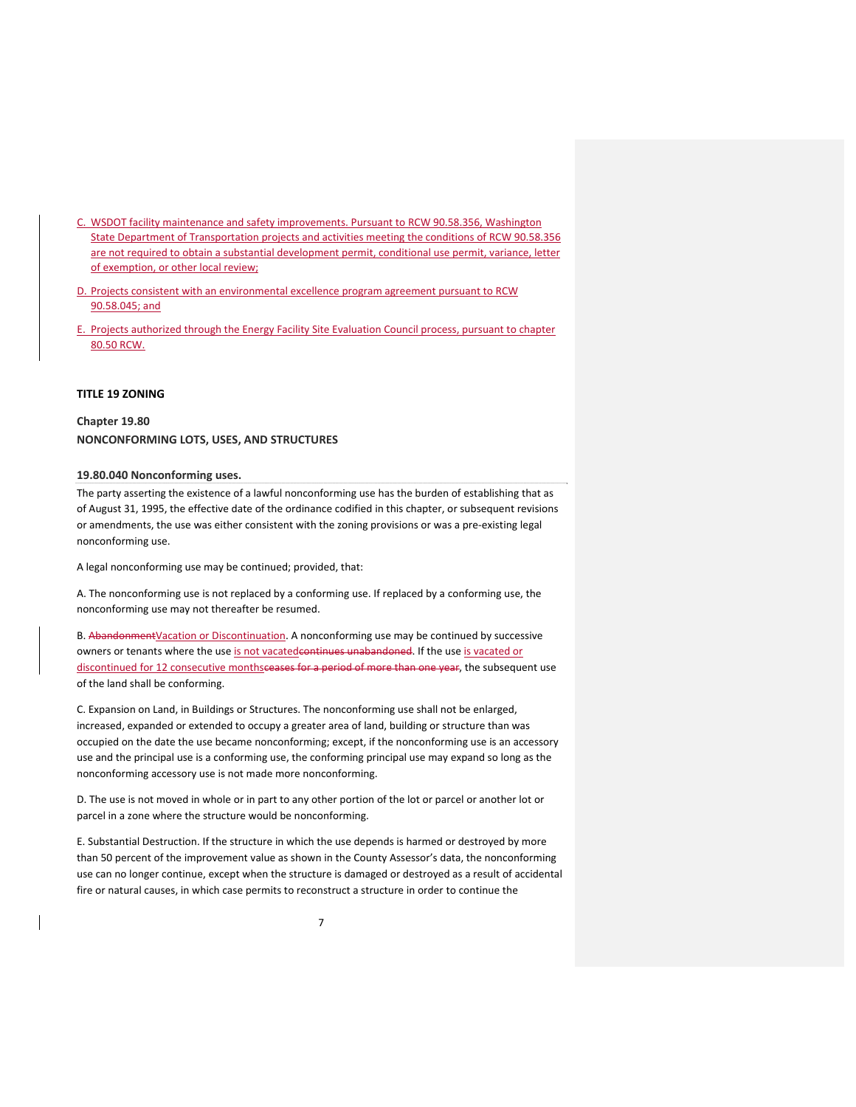- C. WSDOT facility maintenance and safety improvements. Pursuant to RCW 90.58.356, Washington State Department of Transportation projects and activities meeting the conditions of RCW 90.58.356 are not required to obtain a substantial development permit, conditional use permit, variance, letter of exemption, or other local review;
- D. Projects consistent with an environmental excellence program agreement pursuant to RCW 90.58.045; and
- E. Projects authorized through the Energy Facility Site Evaluation Council process, pursuant to chapter 80.50 RCW.

#### **TITLE 19 ZONING**

**Chapter 19.80 NONCONFORMING LOTS, USES, AND STRUCTURES** 

### **19.80.040 Nonconforming uses.**

The party asserting the existence of a lawful nonconforming use has the burden of establishing that as of August 31, 1995, the effective date of the ordinance codified in this chapter, or subsequent revisions or amendments, the use was either consistent with the zoning provisions or was a pre‐existing legal nonconforming use.

A legal nonconforming use may be continued; provided, that:

A. The nonconforming use is not replaced by a conforming use. If replaced by a conforming use, the nonconforming use may not thereafter be resumed.

B. Abandonment Vacation or Discontinuation. A nonconforming use may be continued by successive owners or tenants where the use is not vacated continues unabandoned. If the use is vacated or discontinued for 12 consecutive monthsceases for a period of more than one year, the subsequent use of the land shall be conforming.

C. Expansion on Land, in Buildings or Structures. The nonconforming use shall not be enlarged, increased, expanded or extended to occupy a greater area of land, building or structure than was occupied on the date the use became nonconforming; except, if the nonconforming use is an accessory use and the principal use is a conforming use, the conforming principal use may expand so long as the nonconforming accessory use is not made more nonconforming.

D. The use is not moved in whole or in part to any other portion of the lot or parcel or another lot or parcel in a zone where the structure would be nonconforming.

E. Substantial Destruction. If the structure in which the use depends is harmed or destroyed by more than 50 percent of the improvement value as shown in the County Assessor's data, the nonconforming use can no longer continue, except when the structure is damaged or destroyed as a result of accidental fire or natural causes, in which case permits to reconstruct a structure in order to continue the